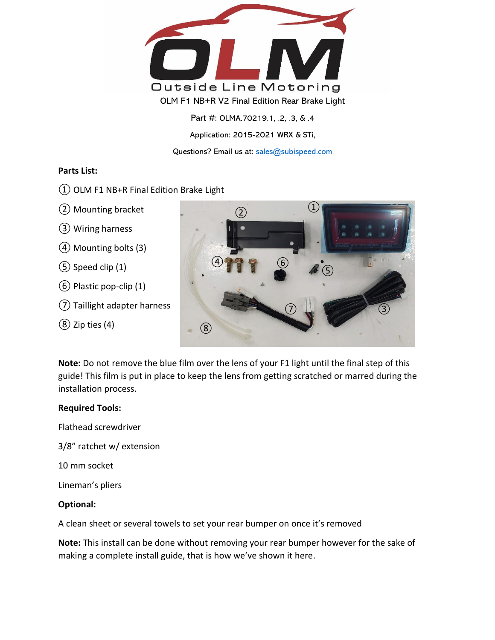

Part #: OLMA.70219.1, .2, .3, & .4 Application: 2015-2021 WRX & STi, Questions? Email us at: [sales@subispeed.com](mailto:sales@subispeed.com)

## **Parts List:**

- ① OLM F1 NB+R Final Edition Brake Light
- ② Mounting bracket
- ③ Wiring harness
- ④Mounting bolts (3)
- ⑤ Speed clip (1)
- ⑥ Plastic pop-clip (1)
- ⑦ Taillight adapter harness
- $(8)$  Zip ties  $(4)$



**Note:** Do not remove the blue film over the lens of your F1 light until the final step of this guide! This film is put in place to keep the lens from getting scratched or marred during the installation process.

## **Required Tools:**

Flathead screwdriver

3/8" ratchet w/ extension

10 mm socket

Lineman's pliers

## **Optional:**

A clean sheet or several towels to set your rear bumper on once it's removed

**Note:** This install can be done without removing your rear bumper however for the sake of making a complete install guide, that is how we've shown it here.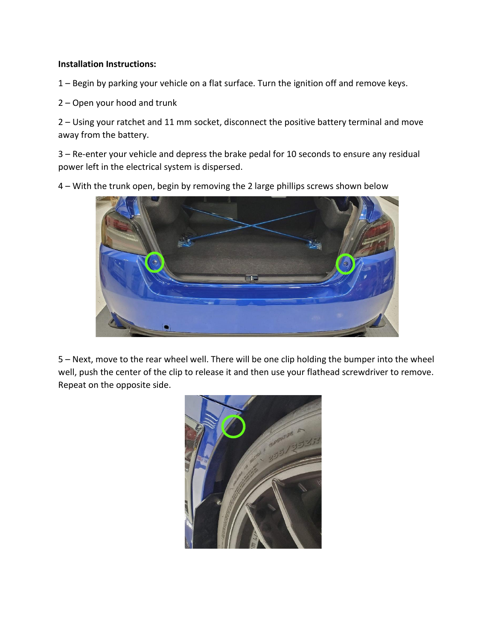## **Installation Instructions:**

1 – Begin by parking your vehicle on a flat surface. Turn the ignition off and remove keys.

2 – Open your hood and trunk

2 – Using your ratchet and 11 mm socket, disconnect the positive battery terminal and move away from the battery.

3 – Re-enter your vehicle and depress the brake pedal for 10 seconds to ensure any residual power left in the electrical system is dispersed.

4 – With the trunk open, begin by removing the 2 large phillips screws shown below



5 – Next, move to the rear wheel well. There will be one clip holding the bumper into the wheel well, push the center of the clip to release it and then use your flathead screwdriver to remove. Repeat on the opposite side.

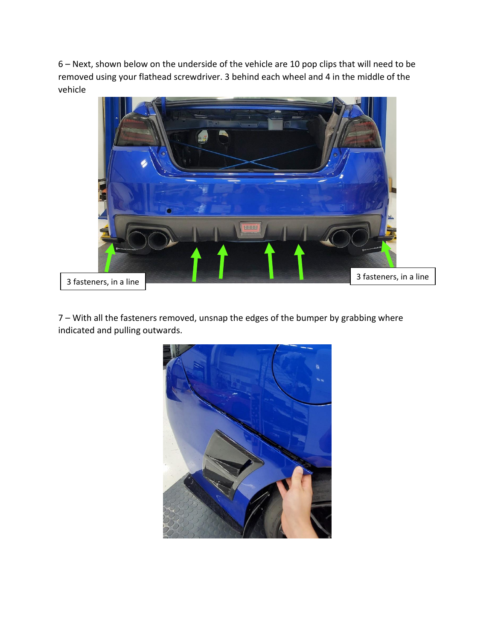6 – Next, shown below on the underside of the vehicle are 10 pop clips that will need to be removed using your flathead screwdriver. 3 behind each wheel and 4 in the middle of the vehicle



7 – With all the fasteners removed, unsnap the edges of the bumper by grabbing where indicated and pulling outwards.

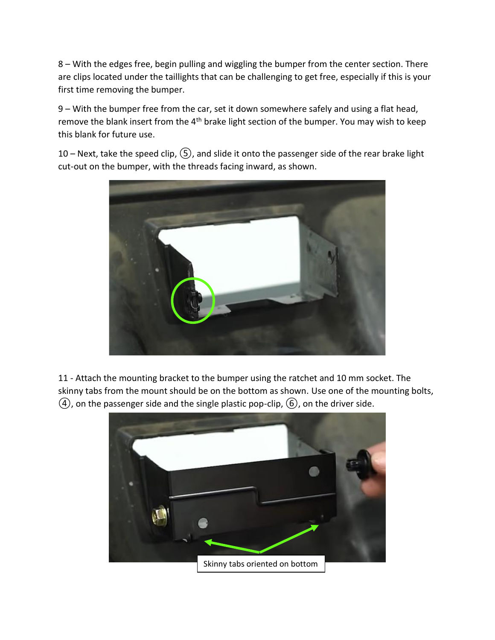8 – With the edges free, begin pulling and wiggling the bumper from the center section. There are clips located under the taillights that can be challenging to get free, especially if this is your first time removing the bumper.

9 – With the bumper free from the car, set it down somewhere safely and using a flat head, remove the blank insert from the  $4<sup>th</sup>$  brake light section of the bumper. You may wish to keep this blank for future use.

10 – Next, take the speed clip,  $(5)$ , and slide it onto the passenger side of the rear brake light cut-out on the bumper, with the threads facing inward, as shown.



11 - Attach the mounting bracket to the bumper using the ratchet and 10 mm socket. The skinny tabs from the mount should be on the bottom as shown. Use one of the mounting bolts,  $(4)$ , on the passenger side and the single plastic pop-clip,  $(6)$ , on the driver side.

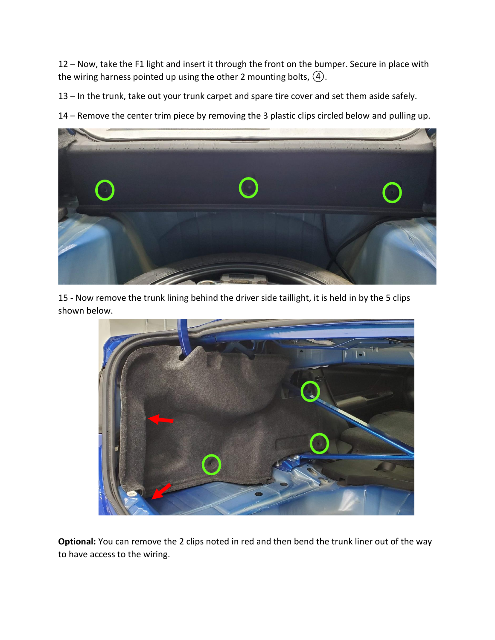12 – Now, take the F1 light and insert it through the front on the bumper. Secure in place with the wiring harness pointed up using the other 2 mounting bolts,  $\left(4\right)$ .

13 – In the trunk, take out your trunk carpet and spare tire cover and set them aside safely.

14 – Remove the center trim piece by removing the 3 plastic clips circled below and pulling up.



15 - Now remove the trunk lining behind the driver side taillight, it is held in by the 5 clips shown below.



**Optional:** You can remove the 2 clips noted in red and then bend the trunk liner out of the way to have access to the wiring.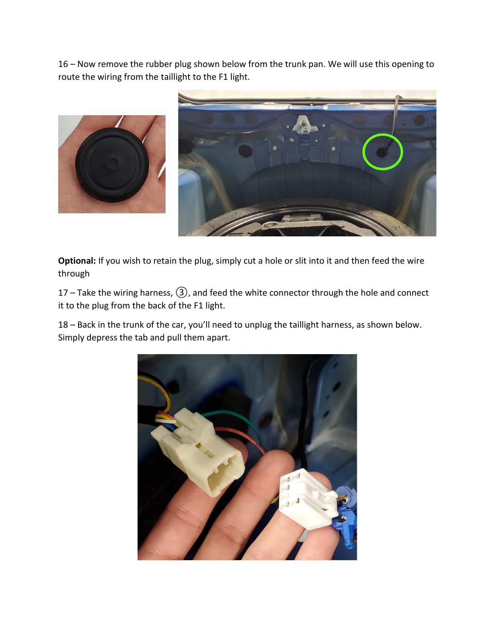16 – Now remove the rubber plug shown below from the trunk pan. We will use this opening to route the wiring from the taillight to the F1 light.





**Optional:** If you wish to retain the plug, simply cut a hole or slit into it and then feed the wire through

17 – Take the wiring harness,  $(3)$ , and feed the white connector through the hole and connect it to the plug from the back of the F1 light.

18 – Back in the trunk of the car, you'll need to unplug the taillight harness, as shown below. Simply depress the tab and pull them apart.

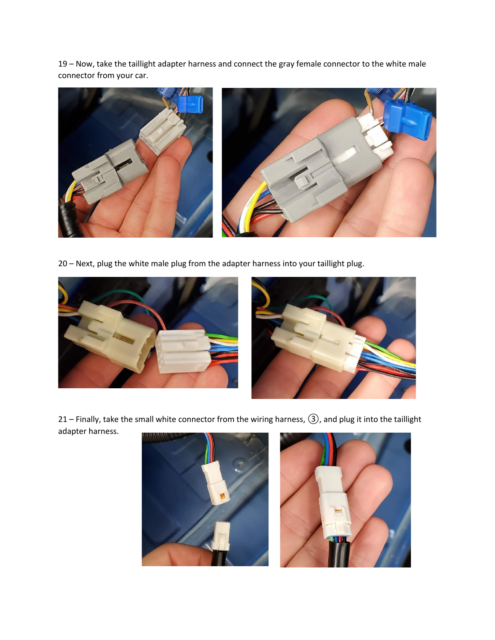19 – Now, take the taillight adapter harness and connect the gray female connector to the white male connector from your car.



20 – Next, plug the white male plug from the adapter harness into your taillight plug.





21 – Finally, take the small white connector from the wiring harness, ③, and plug it into the taillight adapter harness.